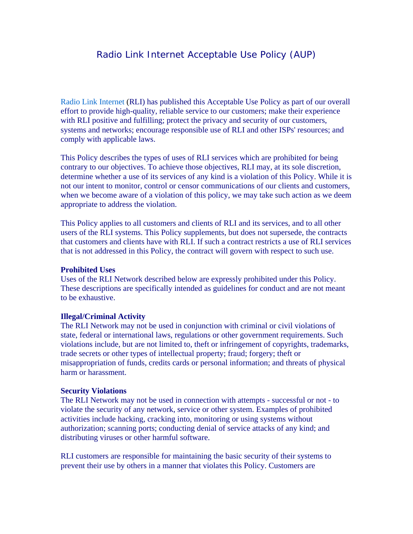# Radio Link Internet Acceptable Use Policy (AUP)

Radio Link Internet (RLI) has published this Acceptable Use Policy as part of our overall effort to provide high-quality, reliable service to our customers; make their experience with RLI positive and fulfilling; protect the privacy and security of our customers, systems and networks; encourage responsible use of RLI and other ISPs' resources; and comply with applicable laws.

This Policy describes the types of uses of RLI services which are prohibited for being contrary to our objectives. To achieve those objectives, RLI may, at its sole discretion, determine whether a use of its services of any kind is a violation of this Policy. While it is not our intent to monitor, control or censor communications of our clients and customers, when we become aware of a violation of this policy, we may take such action as we deem appropriate to address the violation.

This Policy applies to all customers and clients of RLI and its services, and to all other users of the RLI systems. This Policy supplements, but does not supersede, the contracts that customers and clients have with RLI. If such a contract restricts a use of RLI services that is not addressed in this Policy, the contract will govern with respect to such use.

#### **Prohibited Uses**

Uses of the RLI Network described below are expressly prohibited under this Policy. These descriptions are specifically intended as guidelines for conduct and are not meant to be exhaustive.

#### **Illegal/Criminal Activity**

The RLI Network may not be used in conjunction with criminal or civil violations of state, federal or international laws, regulations or other government requirements. Such violations include, but are not limited to, theft or infringement of copyrights, trademarks, trade secrets or other types of intellectual property; fraud; forgery; theft or misappropriation of funds, credits cards or personal information; and threats of physical harm or harassment.

#### **Security Violations**

The RLI Network may not be used in connection with attempts - successful or not - to violate the security of any network, service or other system. Examples of prohibited activities include hacking, cracking into, monitoring or using systems without authorization; scanning ports; conducting denial of service attacks of any kind; and distributing viruses or other harmful software.

RLI customers are responsible for maintaining the basic security of their systems to prevent their use by others in a manner that violates this Policy. Customers are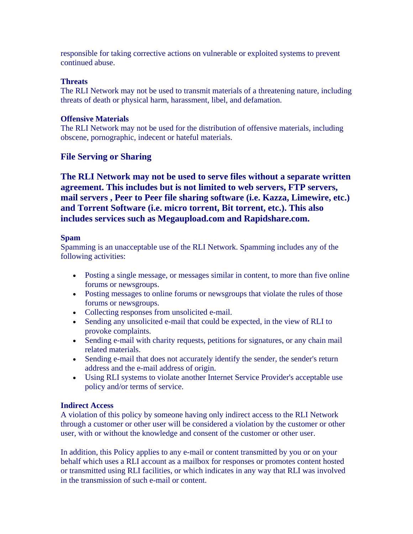responsible for taking corrective actions on vulnerable or exploited systems to prevent continued abuse.

### **Threats**

The RLI Network may not be used to transmit materials of a threatening nature, including threats of death or physical harm, harassment, libel, and defamation.

### **Offensive Materials**

The RLI Network may not be used for the distribution of offensive materials, including obscene, pornographic, indecent or hateful materials.

# **File Serving or Sharing**

**The RLI Network may not be used to serve files without a separate written agreement. This includes but is not limited to web servers, FTP servers, mail servers , Peer to Peer file sharing software (i.e. Kazza, Limewire, etc.) and Torrent Software (i.e. micro torrent, Bit torrent, etc.). This also includes services such as Megaupload.com and Rapidshare.com.**

### **Spam**

Spamming is an unacceptable use of the RLI Network. Spamming includes any of the following activities:

- Posting a single message, or messages similar in content, to more than five online forums or newsgroups.
- Posting messages to online forums or newsgroups that violate the rules of those forums or newsgroups.
- Collecting responses from unsolicited e-mail.
- Sending any unsolicited e-mail that could be expected, in the view of RLI to provoke complaints.
- Sending e-mail with charity requests, petitions for signatures, or any chain mail related materials.
- Sending e-mail that does not accurately identify the sender, the sender's return address and the e-mail address of origin.
- Using RLI systems to violate another Internet Service Provider's acceptable use policy and/or terms of service.

## **Indirect Access**

A violation of this policy by someone having only indirect access to the RLI Network through a customer or other user will be considered a violation by the customer or other user, with or without the knowledge and consent of the customer or other user.

In addition, this Policy applies to any e-mail or content transmitted by you or on your behalf which uses a RLI account as a mailbox for responses or promotes content hosted or transmitted using RLI facilities, or which indicates in any way that RLI was involved in the transmission of such e-mail or content.